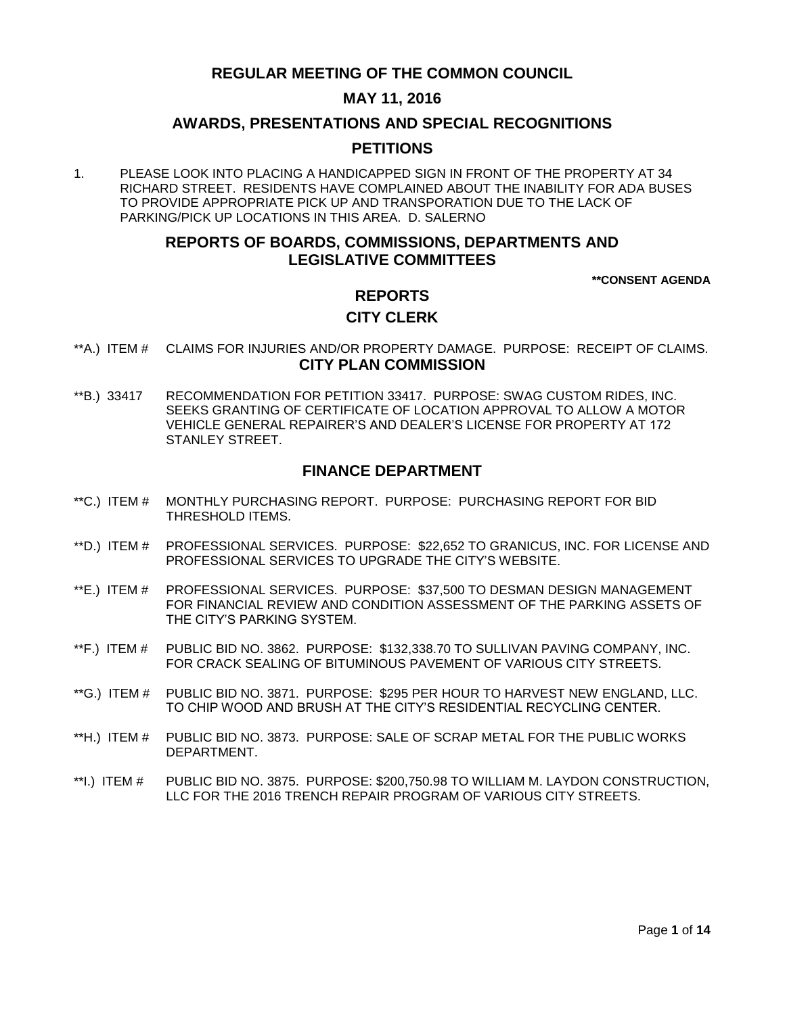# **REGULAR MEETING OF THE COMMON COUNCIL**

# **MAY 11, 2016**

### **AWARDS, PRESENTATIONS AND SPECIAL RECOGNITIONS**

### **PETITIONS**

1. PLEASE LOOK INTO PLACING A HANDICAPPED SIGN IN FRONT OF THE PROPERTY AT 34 RICHARD STREET. RESIDENTS HAVE COMPLAINED ABOUT THE INABILITY FOR ADA BUSES TO PROVIDE APPROPRIATE PICK UP AND TRANSPORATION DUE TO THE LACK OF PARKING/PICK UP LOCATIONS IN THIS AREA. D. SALERNO

# **REPORTS OF BOARDS, COMMISSIONS, DEPARTMENTS AND LEGISLATIVE COMMITTEES**

**\*\*CONSENT AGENDA**

# **REPORTS**

### **CITY CLERK**

- \*\*A.) ITEM # [CLAIMS FOR INJURIES AND/OR PROPERTY DAMAGE. PURPOSE: RECEIPT OF CLAIMS.](#page-2-0) **CITY PLAN COMMISSION**
- \*\*B.) 33417 [RECOMMENDATION FOR PETITION 33417. PURPOSE: SWAG CUSTOM RIDES, INC.](#page-2-1)  [SEEKS GRANTING OF CERTIFICATE OF LOCATION APPROVAL TO ALLOW A MOTOR](#page-2-1)  [VEHICLE GENERAL REPAIRER'S AND DEALER'S LICENSE FOR PROPERTY AT 172](#page-2-1)  [STANLEY STREET.](#page-2-1)

# **FINANCE DEPARTMENT**

- \*\*C.) ITEM # [MONTHLY PURCHASING REPORT. PURPOSE: PURCHASING REPORT FOR BID](#page-3-0)  [THRESHOLD ITEMS.](#page-3-0)
- \*\*D.) ITEM # [PROFESSIONAL SERVICES. PURPOSE: \\$22,652 TO GRANICUS, INC. FOR LICENSE AND](#page-4-0)  [PROFESSIONAL SERVICES TO UPGRADE THE CITY'S WEBSITE.](#page-4-0)
- \*\*E.) ITEM # [PROFESSIONAL SERVICES. PURPOSE: \\$37,500 TO DESMAN DESIGN MANAGEMENT](#page-5-0)  [FOR FINANCIAL REVIEW AND CONDITION ASSESSMENT OF THE PARKING ASSETS OF](#page-5-0)  [THE CITY'S PARKING SYSTEM.](#page-5-0)
- \*\*F.) ITEM # [PUBLIC BID NO. 3862. PURPOSE: \\$132,338.70 TO SULLIVAN PAVING COMPANY, INC.](#page-6-0)  [FOR CRACK SEALING OF BITUMINOUS PAVEMENT OF VARIOUS CITY STREETS.](#page-6-0)
- \*\*G.) ITEM # PUBLIC BID NO. 3871. PURPOSE: \$295 [PER HOUR TO HARVEST NEW ENGLAND, LLC.](#page-6-1)  [TO CHIP WOOD AND BRUSH AT THE CITY'S RESIDENTIAL RECYCLING CENTER.](#page-6-1)
- \*\*H.) ITEM # [PUBLIC BID NO. 3873. PURPOSE: SALE OF SCRAP METAL FOR THE PUBLIC WORKS](#page-7-0)  [DEPARTMENT.](#page-7-0)
- \*\*I.) ITEM # [PUBLIC BID NO. 3875. PURPOSE: \\$200,750.98 TO WILLIAM M. LAYDON CONSTRUCTION,](#page-8-0)  [LLC FOR THE 2016 TRENCH REPAIR PROGRAM OF VARIOUS CITY STREETS.](#page-8-0)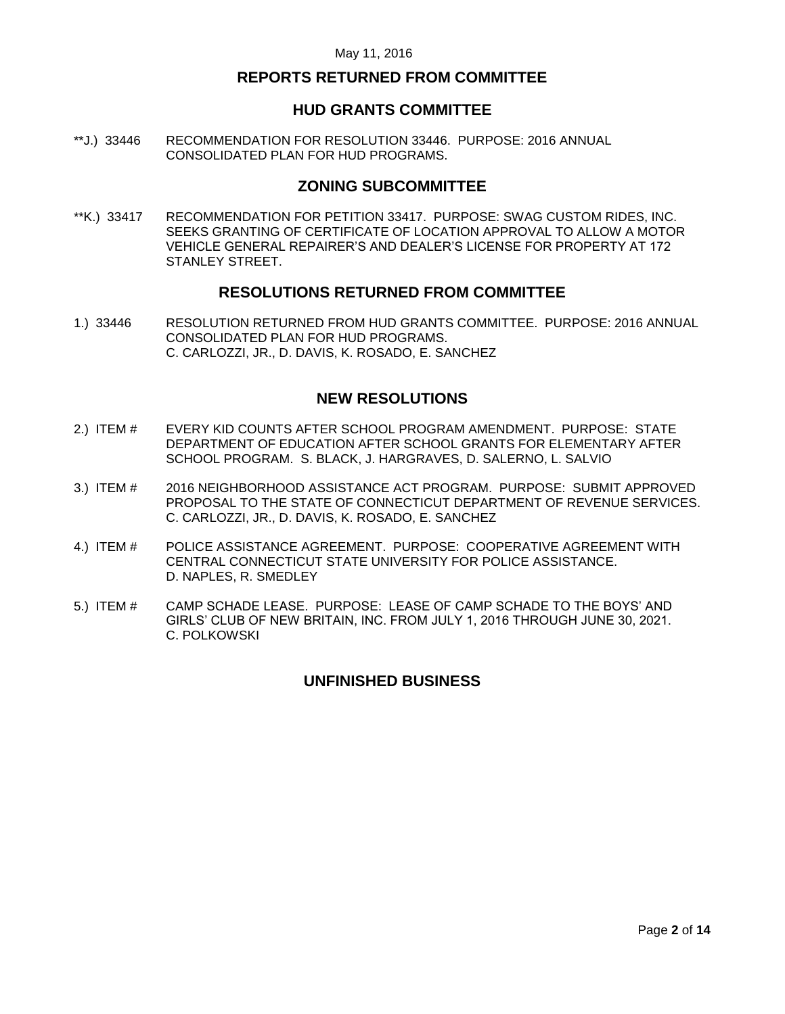# **REPORTS RETURNED FROM COMMITTEE**

### **HUD GRANTS COMMITTEE**

\*\*J.) 33446 [RECOMMENDATION FOR RESOLUTION 33446. PURPOSE: 2016 ANNUAL](#page-8-1)  [CONSOLIDATED PLAN FOR HUD PROGRAMS.](#page-8-1)

# **ZONING SUBCOMMITTEE**

\*\*K.) 33417 [RECOMMENDATION FOR PETITION 33417. PURPOSE: SWAG CUSTOM RIDES, INC.](#page-9-0)  [SEEKS GRANTING OF CERTIFICATE OF LOCATION APPROVAL TO ALLOW A MOTOR](#page-9-0)  [VEHICLE GENERAL REPAIRER'S AND DEALER'S LICENSE FOR PROPERTY AT 172](#page-9-0)  [STANLEY STREET.](#page-9-0)

### **RESOLUTIONS RETURNED FROM COMMITTEE**

1.) 33446 [RESOLUTION RETURNED FROM HUD GRANTS COMMITTEE. PURPOSE: 2016 ANNUAL](#page-9-1)  [CONSOLIDATED PLAN FOR HUD PROGRAMS.](#page-9-1)  [C. CARLOZZI, JR., D. DAVIS, K. ROSADO, E. SANCHEZ](#page-9-1)

# **NEW RESOLUTIONS**

- 2.) ITEM # [EVERY KID COUNTS AFTER SCHOOL PROGRAM AMENDMENT. PURPOSE: STATE](#page-10-0)  [DEPARTMENT OF EDUCATION AFTER SCHOOL GRANTS FOR ELEMENTARY AFTER](#page-10-0)  [SCHOOL PROGRAM. S. BLACK, J. HARGRAVES, D. SALERNO, L. SALVIO](#page-10-0)
- 3.) ITEM # [2016 NEIGHBORHOOD ASSISTANCE ACT PROGRAM. PURPOSE: SUBMIT APPROVED](#page-12-0)  [PROPOSAL TO THE STATE OF CONNECTICUT DEPARTMENT OF REVENUE SERVICES.](#page-12-0)  [C. CARLOZZI, JR., D. DAVIS, K. ROSADO, E. SANCHEZ](#page-12-0)
- 4.) ITEM # [POLICE ASSISTANCE AGREEMENT. PURPOSE: COOPERATIVE AGREEMENT WITH](#page-12-1)  [CENTRAL CONNECTICUT STATE UNIVERSITY FOR POLICE ASSISTANCE.](#page-12-1) [D. NAPLES, R. SMEDLEY](#page-12-1)
- 5.) ITEM # [CAMP SCHADE LEASE. PURPOSE: LEASE OF CAMP SCHADE TO THE BOYS' AND](#page-13-0)  [GIRLS' CLUB OF NEW BRITAIN, INC. FROM JULY 1, 2016 THROUGH JUNE 30, 2021.](#page-13-0) [C. POLKOWSKI](#page-13-0)

# **UNFINISHED BUSINESS**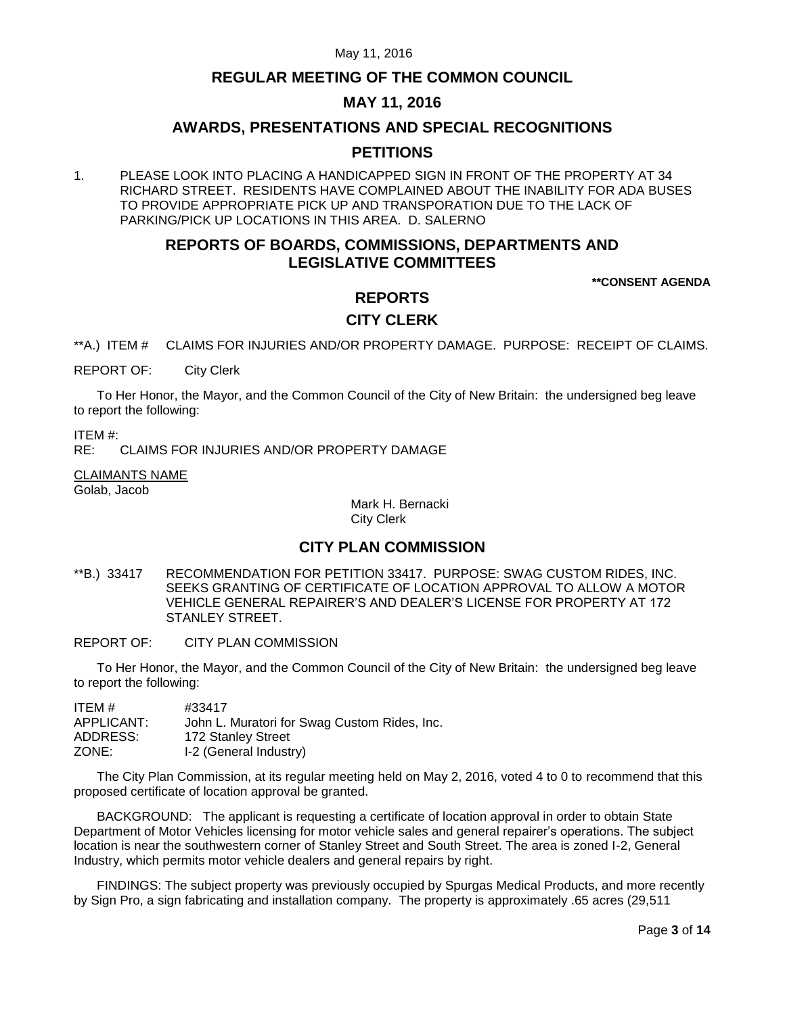# **REGULAR MEETING OF THE COMMON COUNCIL**

# **MAY 11, 2016**

# **AWARDS, PRESENTATIONS AND SPECIAL RECOGNITIONS**

# **PETITIONS**

1. PLEASE LOOK INTO PLACING A HANDICAPPED SIGN IN FRONT OF THE PROPERTY AT 34 RICHARD STREET. RESIDENTS HAVE COMPLAINED ABOUT THE INABILITY FOR ADA BUSES TO PROVIDE APPROPRIATE PICK UP AND TRANSPORATION DUE TO THE LACK OF PARKING/PICK UP LOCATIONS IN THIS AREA. D. SALERNO

# **REPORTS OF BOARDS, COMMISSIONS, DEPARTMENTS AND LEGISLATIVE COMMITTEES**

**\*\*CONSENT AGENDA**

# **REPORTS CITY CLERK**

<span id="page-2-0"></span>\*\*A.) ITEM # CLAIMS FOR INJURIES AND/OR PROPERTY DAMAGE. PURPOSE: RECEIPT OF CLAIMS.

REPORT OF: City Clerk

To Her Honor, the Mayor, and the Common Council of the City of New Britain: the undersigned beg leave to report the following:

ITEM #:

RE: CLAIMS FOR INJURIES AND/OR PROPERTY DAMAGE

CLAIMANTS NAME

Golab, Jacob

Mark H. Bernacki City Clerk

# **CITY PLAN COMMISSION**

- <span id="page-2-1"></span>\*\*B.) 33417 RECOMMENDATION FOR PETITION 33417. PURPOSE: SWAG CUSTOM RIDES, INC. SEEKS GRANTING OF CERTIFICATE OF LOCATION APPROVAL TO ALLOW A MOTOR VEHICLE GENERAL REPAIRER'S AND DEALER'S LICENSE FOR PROPERTY AT 172 STANLEY STREET.
- REPORT OF: CITY PLAN COMMISSION

To Her Honor, the Mayor, and the Common Council of the City of New Britain: the undersigned beg leave to report the following:

| ITEM #     | #33417                                       |
|------------|----------------------------------------------|
| APPLICANT: | John L. Muratori for Swag Custom Rides, Inc. |
| ADDRESS:   | 172 Stanley Street                           |
| ZONE:      | I-2 (General Industry)                       |

The City Plan Commission, at its regular meeting held on May 2, 2016, voted 4 to 0 to recommend that this proposed certificate of location approval be granted.

BACKGROUND: The applicant is requesting a certificate of location approval in order to obtain State Department of Motor Vehicles licensing for motor vehicle sales and general repairer's operations. The subject location is near the southwestern corner of Stanley Street and South Street. The area is zoned I-2, General Industry, which permits motor vehicle dealers and general repairs by right.

FINDINGS: The subject property was previously occupied by Spurgas Medical Products, and more recently by Sign Pro, a sign fabricating and installation company. The property is approximately .65 acres (29,511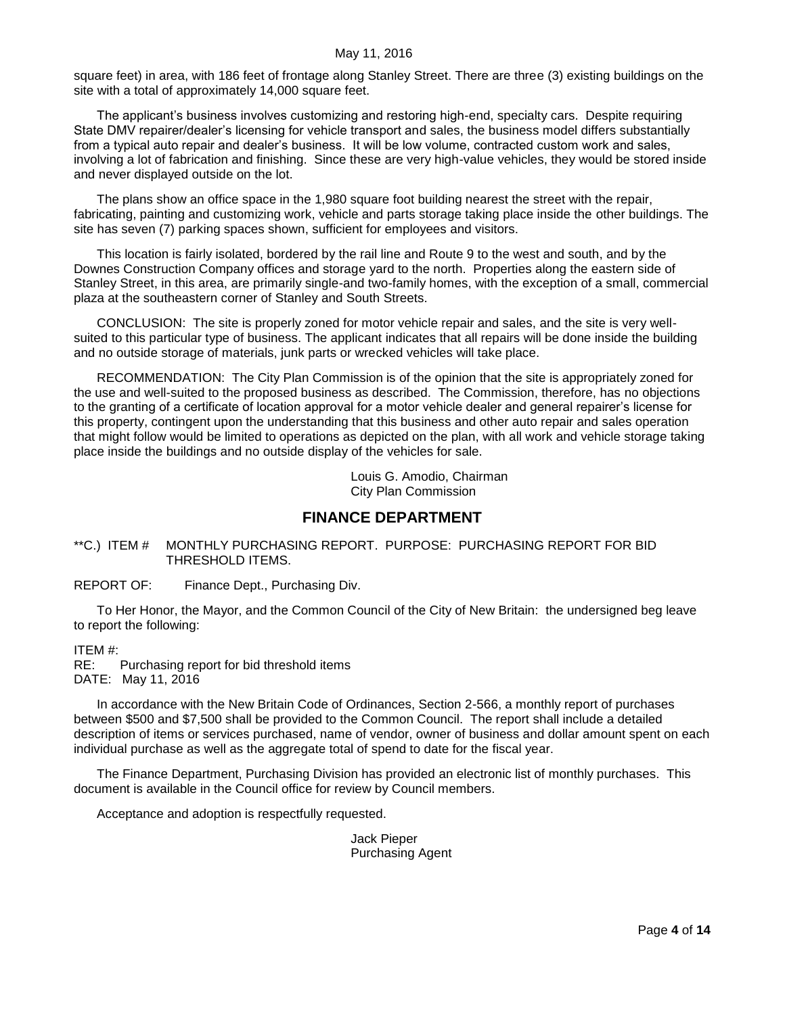square feet) in area, with 186 feet of frontage along Stanley Street. There are three (3) existing buildings on the site with a total of approximately 14,000 square feet.

The applicant's business involves customizing and restoring high-end, specialty cars. Despite requiring State DMV repairer/dealer's licensing for vehicle transport and sales, the business model differs substantially from a typical auto repair and dealer's business. It will be low volume, contracted custom work and sales, involving a lot of fabrication and finishing. Since these are very high-value vehicles, they would be stored inside and never displayed outside on the lot.

The plans show an office space in the 1,980 square foot building nearest the street with the repair, fabricating, painting and customizing work, vehicle and parts storage taking place inside the other buildings. The site has seven (7) parking spaces shown, sufficient for employees and visitors.

This location is fairly isolated, bordered by the rail line and Route 9 to the west and south, and by the Downes Construction Company offices and storage yard to the north. Properties along the eastern side of Stanley Street, in this area, are primarily single-and two-family homes, with the exception of a small, commercial plaza at the southeastern corner of Stanley and South Streets.

CONCLUSION: The site is properly zoned for motor vehicle repair and sales, and the site is very wellsuited to this particular type of business. The applicant indicates that all repairs will be done inside the building and no outside storage of materials, junk parts or wrecked vehicles will take place.

RECOMMENDATION: The City Plan Commission is of the opinion that the site is appropriately zoned for the use and well-suited to the proposed business as described. The Commission, therefore, has no objections to the granting of a certificate of location approval for a motor vehicle dealer and general repairer's license for this property, contingent upon the understanding that this business and other auto repair and sales operation that might follow would be limited to operations as depicted on the plan, with all work and vehicle storage taking place inside the buildings and no outside display of the vehicles for sale.

> Louis G. Amodio, Chairman City Plan Commission

# **FINANCE DEPARTMENT**

<span id="page-3-0"></span>\*\*C.) ITEM # MONTHLY PURCHASING REPORT. PURPOSE: PURCHASING REPORT FOR BID THRESHOLD ITEMS.

REPORT OF: Finance Dept., Purchasing Div.

To Her Honor, the Mayor, and the Common Council of the City of New Britain: the undersigned beg leave to report the following:

ITEM #:

RE: Purchasing report for bid threshold items DATE: May 11, 2016

In accordance with the New Britain Code of Ordinances, Section 2-566, a monthly report of purchases between \$500 and \$7,500 shall be provided to the Common Council. The report shall include a detailed description of items or services purchased, name of vendor, owner of business and dollar amount spent on each individual purchase as well as the aggregate total of spend to date for the fiscal year.

The Finance Department, Purchasing Division has provided an electronic list of monthly purchases. This document is available in the Council office for review by Council members.

Acceptance and adoption is respectfully requested.

Jack Pieper Purchasing Agent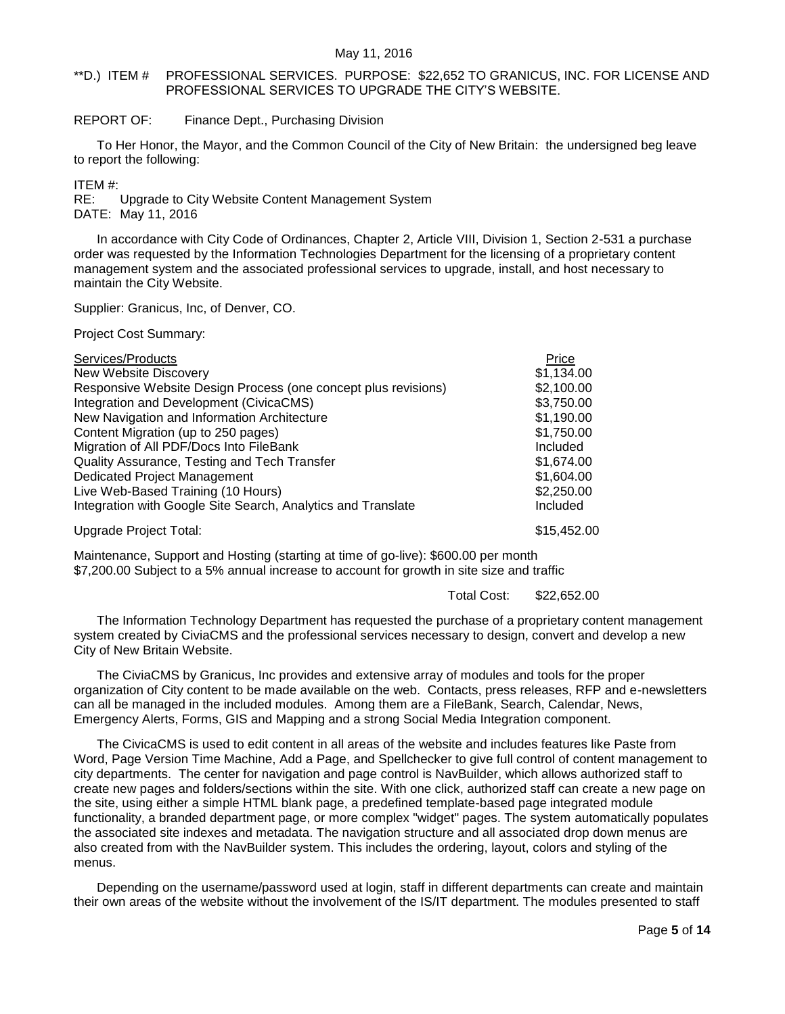#### <span id="page-4-0"></span>\*\*D.) ITEM # PROFESSIONAL SERVICES. PURPOSE: \$22,652 TO GRANICUS, INC. FOR LICENSE AND PROFESSIONAL SERVICES TO UPGRADE THE CITY'S WEBSITE.

#### REPORT OF: Finance Dept., Purchasing Division

To Her Honor, the Mayor, and the Common Council of the City of New Britain: the undersigned beg leave to report the following:

ITEM #:

RE: Upgrade to City Website Content Management System DATE: May 11, 2016

In accordance with City Code of Ordinances, Chapter 2, Article VIII, Division 1, Section 2-531 a purchase order was requested by the Information Technologies Department for the licensing of a proprietary content management system and the associated professional services to upgrade, install, and host necessary to maintain the City Website.

Supplier: Granicus, Inc, of Denver, CO.

Project Cost Summary:

| Services/Products                                              | Price           |
|----------------------------------------------------------------|-----------------|
| <b>New Website Discovery</b>                                   | \$1,134.00      |
| Responsive Website Design Process (one concept plus revisions) | \$2,100.00      |
| Integration and Development (CivicaCMS)                        | \$3,750.00      |
| New Navigation and Information Architecture                    | \$1,190.00      |
| Content Migration (up to 250 pages)                            | \$1,750.00      |
| Migration of All PDF/Docs Into FileBank                        | <b>Included</b> |
| Quality Assurance, Testing and Tech Transfer                   | \$1,674.00      |
| Dedicated Project Management                                   | \$1,604.00      |
| Live Web-Based Training (10 Hours)                             | \$2,250.00      |
| Integration with Google Site Search, Analytics and Translate   | <b>Included</b> |
| Upgrade Project Total:                                         | \$15,452.00     |

Maintenance, Support and Hosting (starting at time of go-live): \$600.00 per month \$7,200.00 Subject to a 5% annual increase to account for growth in site size and traffic

Total Cost: \$22,652.00

The Information Technology Department has requested the purchase of a proprietary content management system created by CiviaCMS and the professional services necessary to design, convert and develop a new City of New Britain Website.

The CiviaCMS by Granicus, Inc provides and extensive array of modules and tools for the proper organization of City content to be made available on the web. Contacts, press releases, RFP and e-newsletters can all be managed in the included modules. Among them are a FileBank, Search, Calendar, News, Emergency Alerts, Forms, GIS and Mapping and a strong Social Media Integration component.

The CivicaCMS is used to edit content in all areas of the website and includes features like Paste from Word, Page Version Time Machine, Add a Page, and Spellchecker to give full control of content management to city departments. The center for navigation and page control is NavBuilder, which allows authorized staff to create new pages and folders/sections within the site. With one click, authorized staff can create a new page on the site, using either a simple HTML blank page, a predefined template-based page integrated module functionality, a branded department page, or more complex "widget" pages. The system automatically populates the associated site indexes and metadata. The navigation structure and all associated drop down menus are also created from with the NavBuilder system. This includes the ordering, layout, colors and styling of the menus.

Depending on the username/password used at login, staff in different departments can create and maintain their own areas of the website without the involvement of the IS/IT department. The modules presented to staff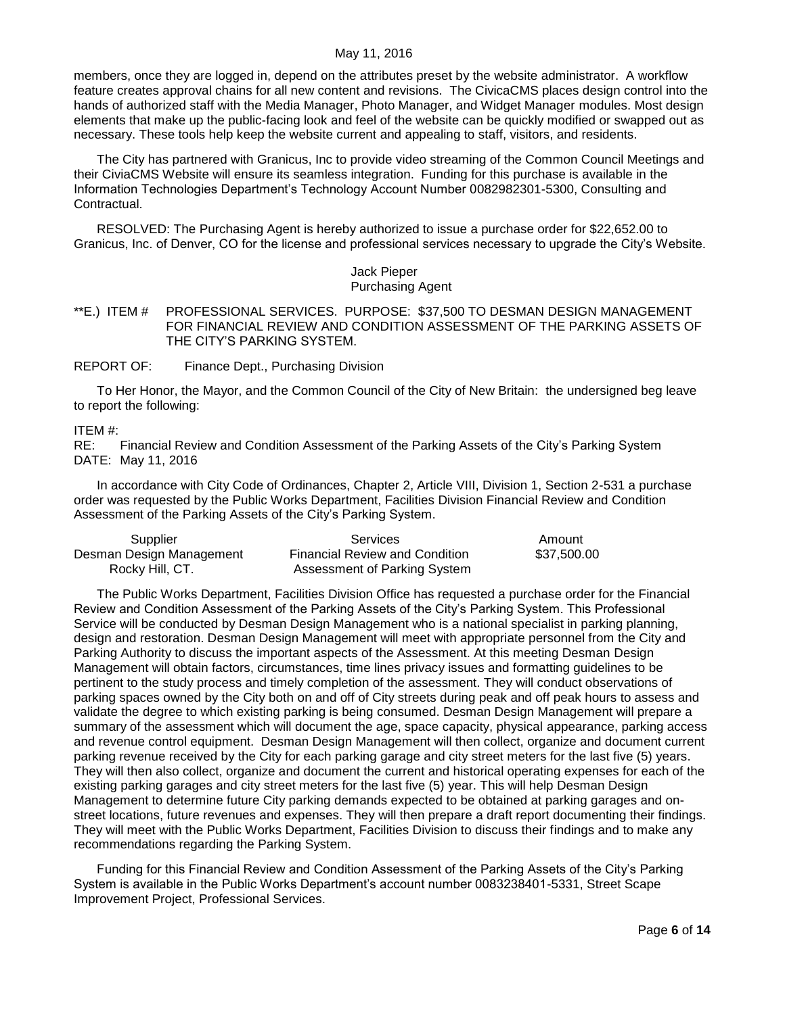members, once they are logged in, depend on the attributes preset by the website administrator. A workflow feature creates approval chains for all new content and revisions. The CivicaCMS places design control into the hands of authorized staff with the Media Manager, Photo Manager, and Widget Manager modules. Most design elements that make up the public-facing look and feel of the website can be quickly modified or swapped out as necessary. These tools help keep the website current and appealing to staff, visitors, and residents.

The City has partnered with Granicus, Inc to provide video streaming of the Common Council Meetings and their CiviaCMS Website will ensure its seamless integration. Funding for this purchase is available in the Information Technologies Department's Technology Account Number 0082982301-5300, Consulting and Contractual.

RESOLVED: The Purchasing Agent is hereby authorized to issue a purchase order for \$22,652.00 to Granicus, Inc. of Denver, CO for the license and professional services necessary to upgrade the City's Website.

#### Jack Pieper Purchasing Agent

<span id="page-5-0"></span>\*\*E.) ITEM # PROFESSIONAL SERVICES. PURPOSE: \$37,500 TO DESMAN DESIGN MANAGEMENT FOR FINANCIAL REVIEW AND CONDITION ASSESSMENT OF THE PARKING ASSETS OF THE CITY'S PARKING SYSTEM.

REPORT OF: Finance Dept., Purchasing Division

To Her Honor, the Mayor, and the Common Council of the City of New Britain: the undersigned beg leave to report the following:

ITEM #:

RE: Financial Review and Condition Assessment of the Parking Assets of the City's Parking System DATE: May 11, 2016

In accordance with City Code of Ordinances, Chapter 2, Article VIII, Division 1, Section 2-531 a purchase order was requested by the Public Works Department, Facilities Division Financial Review and Condition Assessment of the Parking Assets of the City's Parking System.

| Supplier                 | Services                              | Amount      |
|--------------------------|---------------------------------------|-------------|
| Desman Design Management | <b>Financial Review and Condition</b> | \$37,500.00 |
| Rocky Hill, CT.          | Assessment of Parking System          |             |

The Public Works Department, Facilities Division Office has requested a purchase order for the Financial Review and Condition Assessment of the Parking Assets of the City's Parking System. This Professional Service will be conducted by Desman Design Management who is a national specialist in parking planning, design and restoration. Desman Design Management will meet with appropriate personnel from the City and Parking Authority to discuss the important aspects of the Assessment. At this meeting Desman Design Management will obtain factors, circumstances, time lines privacy issues and formatting guidelines to be pertinent to the study process and timely completion of the assessment. They will conduct observations of parking spaces owned by the City both on and off of City streets during peak and off peak hours to assess and validate the degree to which existing parking is being consumed. Desman Design Management will prepare a summary of the assessment which will document the age, space capacity, physical appearance, parking access and revenue control equipment. Desman Design Management will then collect, organize and document current parking revenue received by the City for each parking garage and city street meters for the last five (5) years. They will then also collect, organize and document the current and historical operating expenses for each of the existing parking garages and city street meters for the last five (5) year. This will help Desman Design Management to determine future City parking demands expected to be obtained at parking garages and onstreet locations, future revenues and expenses. They will then prepare a draft report documenting their findings. They will meet with the Public Works Department, Facilities Division to discuss their findings and to make any recommendations regarding the Parking System.

Funding for this Financial Review and Condition Assessment of the Parking Assets of the City's Parking System is available in the Public Works Department's account number 0083238401-5331, Street Scape Improvement Project, Professional Services.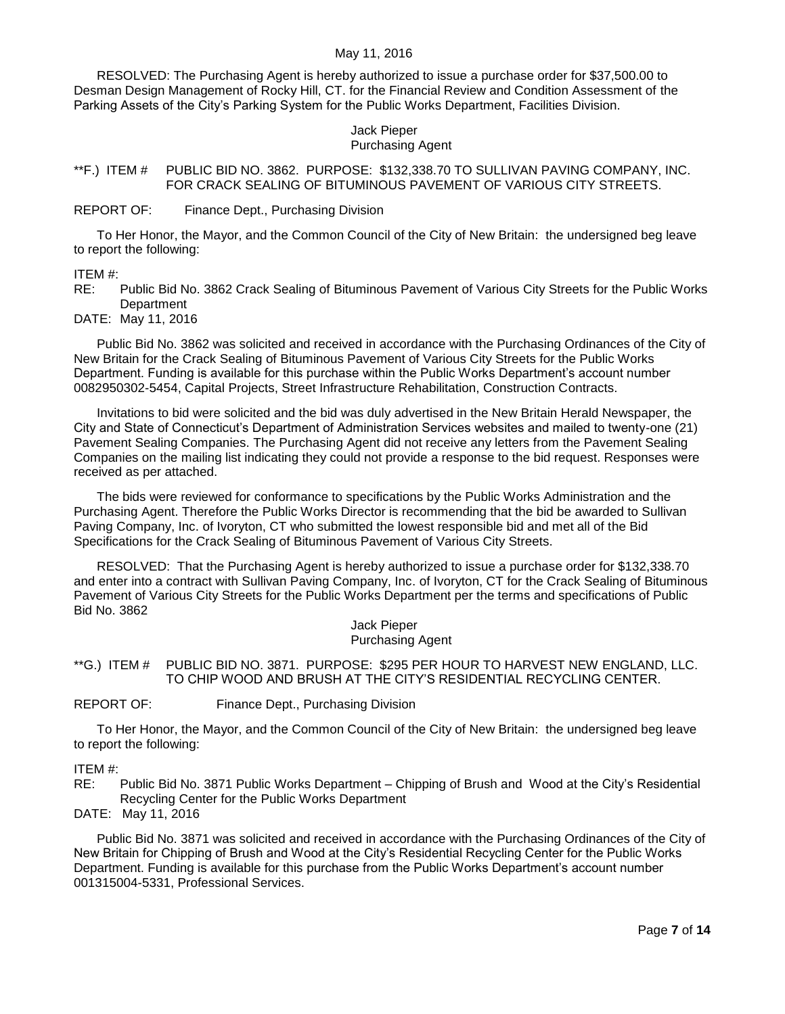RESOLVED: The Purchasing Agent is hereby authorized to issue a purchase order for \$37,500.00 to Desman Design Management of Rocky Hill, CT. for the Financial Review and Condition Assessment of the Parking Assets of the City's Parking System for the Public Works Department, Facilities Division.

# Jack Pieper

### Purchasing Agent

<span id="page-6-0"></span>\*\*F.) ITEM # PUBLIC BID NO. 3862. PURPOSE: \$132,338.70 TO SULLIVAN PAVING COMPANY, INC. FOR CRACK SEALING OF BITUMINOUS PAVEMENT OF VARIOUS CITY STREETS.

#### REPORT OF: Finance Dept., Purchasing Division

To Her Honor, the Mayor, and the Common Council of the City of New Britain: the undersigned beg leave to report the following:

ITEM #:

RE: Public Bid No. 3862 Crack Sealing of Bituminous Pavement of Various City Streets for the Public Works **Department** 

DATE: May 11, 2016

Public Bid No. 3862 was solicited and received in accordance with the Purchasing Ordinances of the City of New Britain for the Crack Sealing of Bituminous Pavement of Various City Streets for the Public Works Department. Funding is available for this purchase within the Public Works Department's account number 0082950302-5454, Capital Projects, Street Infrastructure Rehabilitation, Construction Contracts.

Invitations to bid were solicited and the bid was duly advertised in the New Britain Herald Newspaper, the City and State of Connecticut's Department of Administration Services websites and mailed to twenty-one (21) Pavement Sealing Companies. The Purchasing Agent did not receive any letters from the Pavement Sealing Companies on the mailing list indicating they could not provide a response to the bid request. Responses were received as per attached.

The bids were reviewed for conformance to specifications by the Public Works Administration and the Purchasing Agent. Therefore the Public Works Director is recommending that the bid be awarded to Sullivan Paving Company, Inc. of Ivoryton, CT who submitted the lowest responsible bid and met all of the Bid Specifications for the Crack Sealing of Bituminous Pavement of Various City Streets.

RESOLVED: That the Purchasing Agent is hereby authorized to issue a purchase order for \$132,338.70 and enter into a contract with Sullivan Paving Company, Inc. of Ivoryton, CT for the Crack Sealing of Bituminous Pavement of Various City Streets for the Public Works Department per the terms and specifications of Public Bid No. 3862

> Jack Pieper Purchasing Agent

<span id="page-6-1"></span>\*\*G.) ITEM # PUBLIC BID NO. 3871. PURPOSE: \$295 PER HOUR TO HARVEST NEW ENGLAND, LLC. TO CHIP WOOD AND BRUSH AT THE CITY'S RESIDENTIAL RECYCLING CENTER.

REPORT OF: Finance Dept., Purchasing Division

To Her Honor, the Mayor, and the Common Council of the City of New Britain: the undersigned beg leave to report the following:

#### ITEM #:

RE: Public Bid No. 3871 Public Works Department – Chipping of Brush and Wood at the City's Residential Recycling Center for the Public Works Department

DATE: May 11, 2016

Public Bid No. 3871 was solicited and received in accordance with the Purchasing Ordinances of the City of New Britain for Chipping of Brush and Wood at the City's Residential Recycling Center for the Public Works Department. Funding is available for this purchase from the Public Works Department's account number 001315004-5331, Professional Services.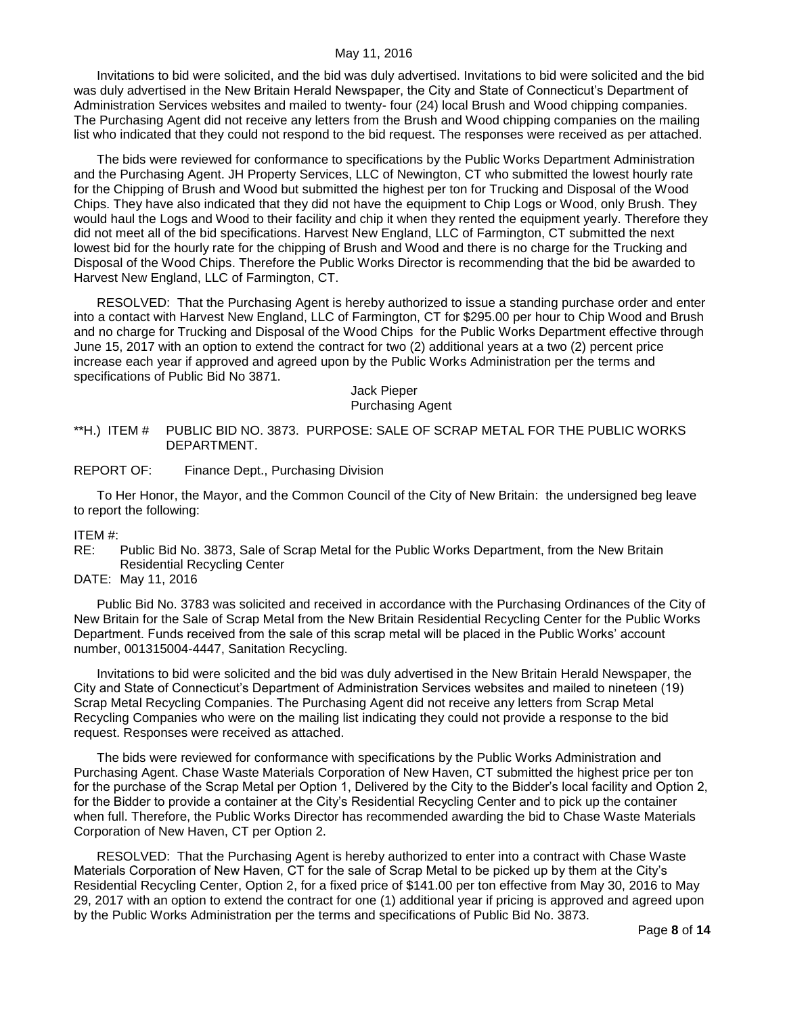Invitations to bid were solicited, and the bid was duly advertised. Invitations to bid were solicited and the bid was duly advertised in the New Britain Herald Newspaper, the City and State of Connecticut's Department of Administration Services websites and mailed to twenty- four (24) local Brush and Wood chipping companies. The Purchasing Agent did not receive any letters from the Brush and Wood chipping companies on the mailing list who indicated that they could not respond to the bid request. The responses were received as per attached.

The bids were reviewed for conformance to specifications by the Public Works Department Administration and the Purchasing Agent. JH Property Services, LLC of Newington, CT who submitted the lowest hourly rate for the Chipping of Brush and Wood but submitted the highest per ton for Trucking and Disposal of the Wood Chips. They have also indicated that they did not have the equipment to Chip Logs or Wood, only Brush. They would haul the Logs and Wood to their facility and chip it when they rented the equipment yearly. Therefore they did not meet all of the bid specifications. Harvest New England, LLC of Farmington, CT submitted the next lowest bid for the hourly rate for the chipping of Brush and Wood and there is no charge for the Trucking and Disposal of the Wood Chips. Therefore the Public Works Director is recommending that the bid be awarded to Harvest New England, LLC of Farmington, CT.

RESOLVED: That the Purchasing Agent is hereby authorized to issue a standing purchase order and enter into a contact with Harvest New England, LLC of Farmington, CT for \$295.00 per hour to Chip Wood and Brush and no charge for Trucking and Disposal of the Wood Chips for the Public Works Department effective through June 15, 2017 with an option to extend the contract for two (2) additional years at a two (2) percent price increase each year if approved and agreed upon by the Public Works Administration per the terms and specifications of Public Bid No 3871.

> Jack Pieper Purchasing Agent

<span id="page-7-0"></span>\*\*H.) ITEM # PUBLIC BID NO. 3873. PURPOSE: SALE OF SCRAP METAL FOR THE PUBLIC WORKS DEPARTMENT.

REPORT OF: Finance Dept., Purchasing Division

To Her Honor, the Mayor, and the Common Council of the City of New Britain: the undersigned beg leave to report the following:

#### ITEM #:

- RE: Public Bid No. 3873, Sale of Scrap Metal for the Public Works Department, from the New Britain Residential Recycling Center
- DATE: May 11, 2016

Public Bid No. 3783 was solicited and received in accordance with the Purchasing Ordinances of the City of New Britain for the Sale of Scrap Metal from the New Britain Residential Recycling Center for the Public Works Department. Funds received from the sale of this scrap metal will be placed in the Public Works' account number, 001315004-4447, Sanitation Recycling.

Invitations to bid were solicited and the bid was duly advertised in the New Britain Herald Newspaper, the City and State of Connecticut's Department of Administration Services websites and mailed to nineteen (19) Scrap Metal Recycling Companies. The Purchasing Agent did not receive any letters from Scrap Metal Recycling Companies who were on the mailing list indicating they could not provide a response to the bid request. Responses were received as attached.

The bids were reviewed for conformance with specifications by the Public Works Administration and Purchasing Agent. Chase Waste Materials Corporation of New Haven, CT submitted the highest price per ton for the purchase of the Scrap Metal per Option 1, Delivered by the City to the Bidder's local facility and Option 2, for the Bidder to provide a container at the City's Residential Recycling Center and to pick up the container when full. Therefore, the Public Works Director has recommended awarding the bid to Chase Waste Materials Corporation of New Haven, CT per Option 2.

RESOLVED: That the Purchasing Agent is hereby authorized to enter into a contract with Chase Waste Materials Corporation of New Haven, CT for the sale of Scrap Metal to be picked up by them at the City's Residential Recycling Center, Option 2, for a fixed price of \$141.00 per ton effective from May 30, 2016 to May 29, 2017 with an option to extend the contract for one (1) additional year if pricing is approved and agreed upon by the Public Works Administration per the terms and specifications of Public Bid No. 3873.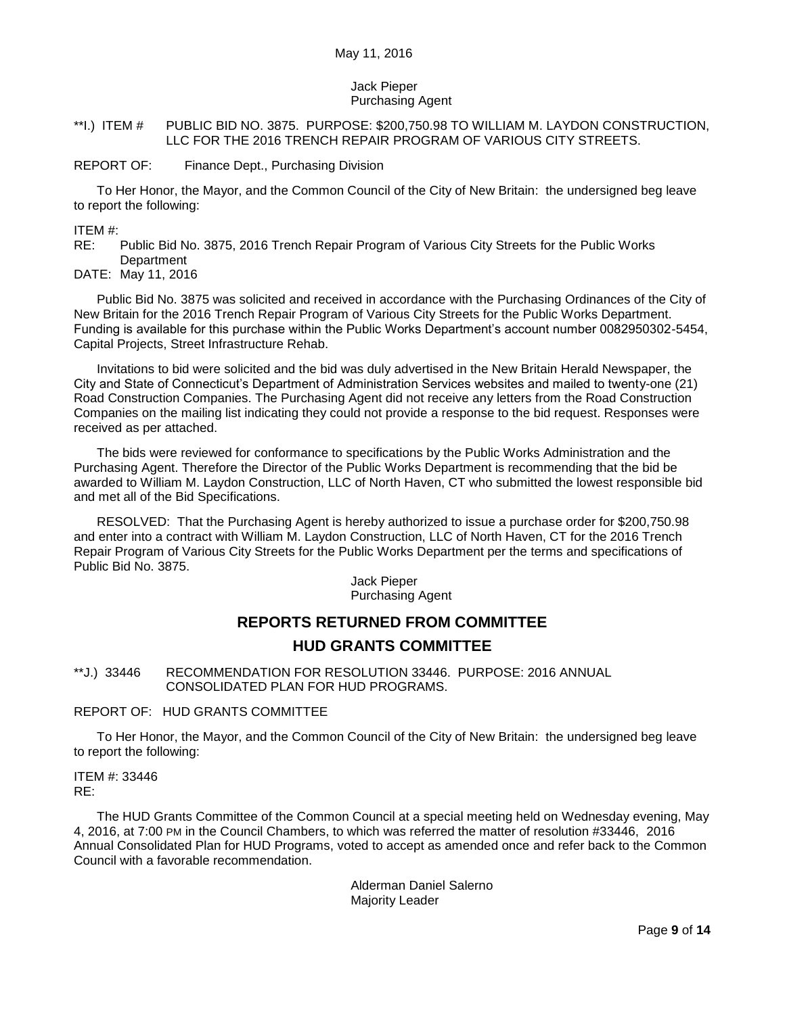### Jack Pieper Purchasing Agent

#### <span id="page-8-0"></span>\*\*I.) ITEM # PUBLIC BID NO. 3875. PURPOSE: \$200,750.98 TO WILLIAM M. LAYDON CONSTRUCTION, LLC FOR THE 2016 TRENCH REPAIR PROGRAM OF VARIOUS CITY STREETS.

#### REPORT OF: Finance Dept., Purchasing Division

To Her Honor, the Mayor, and the Common Council of the City of New Britain: the undersigned beg leave to report the following:

ITEM #:

RE: Public Bid No. 3875, 2016 Trench Repair Program of Various City Streets for the Public Works **Department** 

DATE: May 11, 2016

Public Bid No. 3875 was solicited and received in accordance with the Purchasing Ordinances of the City of New Britain for the 2016 Trench Repair Program of Various City Streets for the Public Works Department. Funding is available for this purchase within the Public Works Department's account number 0082950302-5454, Capital Projects, Street Infrastructure Rehab.

Invitations to bid were solicited and the bid was duly advertised in the New Britain Herald Newspaper, the City and State of Connecticut's Department of Administration Services websites and mailed to twenty-one (21) Road Construction Companies. The Purchasing Agent did not receive any letters from the Road Construction Companies on the mailing list indicating they could not provide a response to the bid request. Responses were received as per attached.

The bids were reviewed for conformance to specifications by the Public Works Administration and the Purchasing Agent. Therefore the Director of the Public Works Department is recommending that the bid be awarded to William M. Laydon Construction, LLC of North Haven, CT who submitted the lowest responsible bid and met all of the Bid Specifications.

RESOLVED: That the Purchasing Agent is hereby authorized to issue a purchase order for \$200,750.98 and enter into a contract with William M. Laydon Construction, LLC of North Haven, CT for the 2016 Trench Repair Program of Various City Streets for the Public Works Department per the terms and specifications of Public Bid No. 3875.

> Jack Pieper Purchasing Agent

# **REPORTS RETURNED FROM COMMITTEE HUD GRANTS COMMITTEE**

<span id="page-8-1"></span>\*\*J.) 33446 RECOMMENDATION FOR RESOLUTION 33446. PURPOSE: 2016 ANNUAL CONSOLIDATED PLAN FOR HUD PROGRAMS.

REPORT OF: HUD GRANTS COMMITTEE

To Her Honor, the Mayor, and the Common Council of the City of New Britain: the undersigned beg leave to report the following:

ITEM #: 33446 RE:

The HUD Grants Committee of the Common Council at a special meeting held on Wednesday evening, May 4, 2016, at 7:00 PM in the Council Chambers, to which was referred the matter of resolution #33446, 2016 Annual Consolidated Plan for HUD Programs, voted to accept as amended once and refer back to the Common Council with a favorable recommendation.

> Alderman Daniel Salerno Majority Leader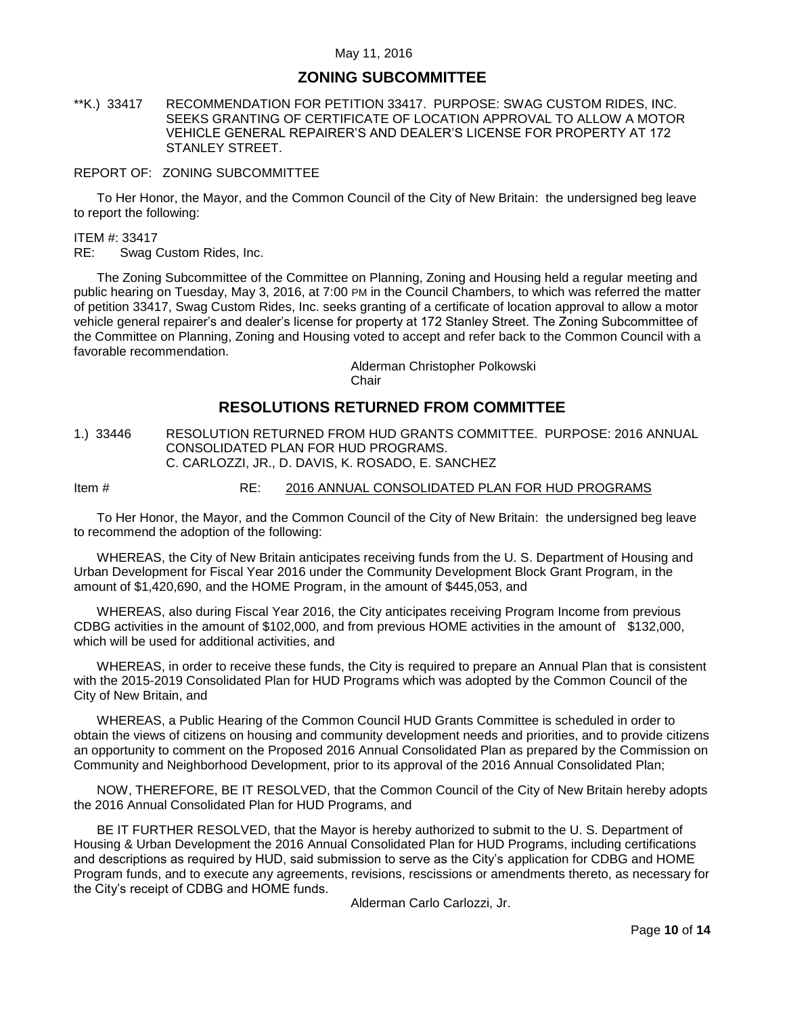# **ZONING SUBCOMMITTEE**

### <span id="page-9-0"></span>\*\*K.) 33417 RECOMMENDATION FOR PETITION 33417. PURPOSE: SWAG CUSTOM RIDES, INC. SEEKS GRANTING OF CERTIFICATE OF LOCATION APPROVAL TO ALLOW A MOTOR VEHICLE GENERAL REPAIRER'S AND DEALER'S LICENSE FOR PROPERTY AT 172 STANLEY STREET.

#### REPORT OF: ZONING SUBCOMMITTEE

To Her Honor, the Mayor, and the Common Council of the City of New Britain: the undersigned beg leave to report the following:

ITEM #: 33417

RE: Swag Custom Rides, Inc.

The Zoning Subcommittee of the Committee on Planning, Zoning and Housing held a regular meeting and public hearing on Tuesday, May 3, 2016, at 7:00 PM in the Council Chambers, to which was referred the matter of petition 33417, Swag Custom Rides, Inc. seeks granting of a certificate of location approval to allow a motor vehicle general repairer's and dealer's license for property at 172 Stanley Street. The Zoning Subcommittee of the Committee on Planning, Zoning and Housing voted to accept and refer back to the Common Council with a favorable recommendation.

> Alderman Christopher Polkowski **Chair**

# **RESOLUTIONS RETURNED FROM COMMITTEE**

<span id="page-9-1"></span>1.) 33446 RESOLUTION RETURNED FROM HUD GRANTS COMMITTEE. PURPOSE: 2016 ANNUAL CONSOLIDATED PLAN FOR HUD PROGRAMS. C. CARLOZZI, JR., D. DAVIS, K. ROSADO, E. SANCHEZ

Item # RE: 2016 ANNUAL CONSOLIDATED PLAN FOR HUD PROGRAMS

To Her Honor, the Mayor, and the Common Council of the City of New Britain: the undersigned beg leave to recommend the adoption of the following:

WHEREAS, the City of New Britain anticipates receiving funds from the U. S. Department of Housing and Urban Development for Fiscal Year 2016 under the Community Development Block Grant Program, in the amount of \$1,420,690, and the HOME Program, in the amount of \$445,053, and

WHEREAS, also during Fiscal Year 2016, the City anticipates receiving Program Income from previous CDBG activities in the amount of \$102,000, and from previous HOME activities in the amount of \$132,000, which will be used for additional activities, and

WHEREAS, in order to receive these funds, the City is required to prepare an Annual Plan that is consistent with the 2015-2019 Consolidated Plan for HUD Programs which was adopted by the Common Council of the City of New Britain, and

WHEREAS, a Public Hearing of the Common Council HUD Grants Committee is scheduled in order to obtain the views of citizens on housing and community development needs and priorities, and to provide citizens an opportunity to comment on the Proposed 2016 Annual Consolidated Plan as prepared by the Commission on Community and Neighborhood Development, prior to its approval of the 2016 Annual Consolidated Plan;

NOW, THEREFORE, BE IT RESOLVED, that the Common Council of the City of New Britain hereby adopts the 2016 Annual Consolidated Plan for HUD Programs, and

BE IT FURTHER RESOLVED, that the Mayor is hereby authorized to submit to the U. S. Department of Housing & Urban Development the 2016 Annual Consolidated Plan for HUD Programs, including certifications and descriptions as required by HUD, said submission to serve as the City's application for CDBG and HOME Program funds, and to execute any agreements, revisions, rescissions or amendments thereto, as necessary for the City's receipt of CDBG and HOME funds.

Alderman Carlo Carlozzi, Jr.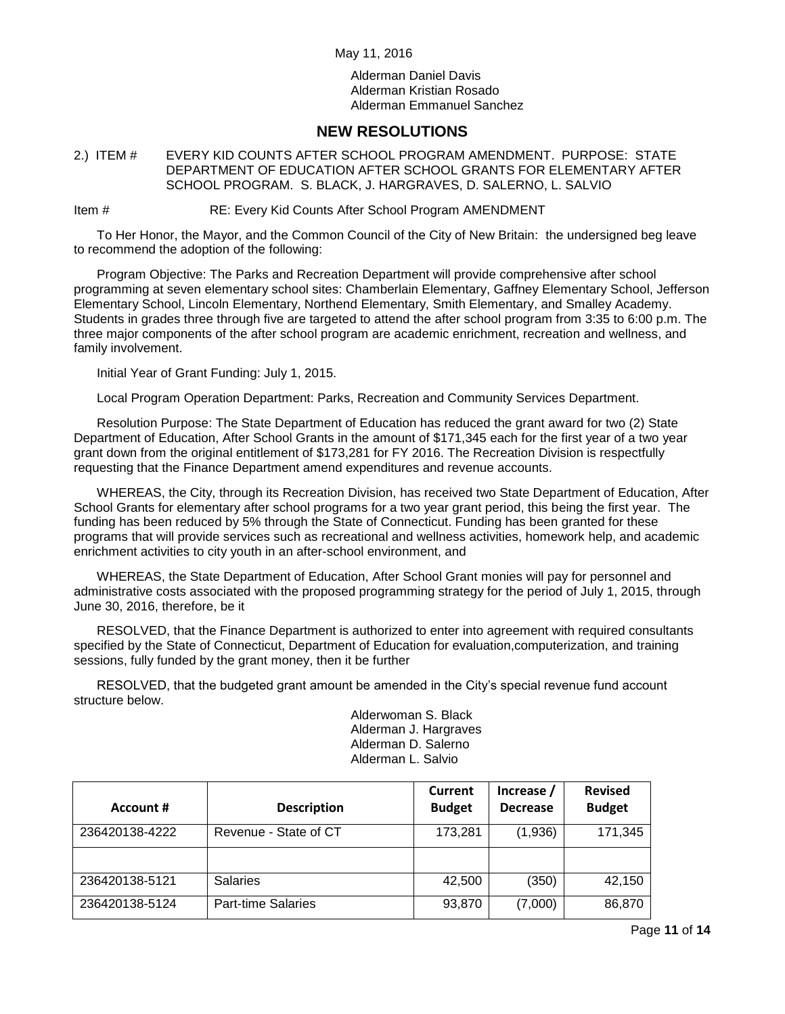Alderman Daniel Davis Alderman Kristian Rosado Alderman Emmanuel Sanchez

# **NEW RESOLUTIONS**

<span id="page-10-0"></span>2.) ITEM # EVERY KID COUNTS AFTER SCHOOL PROGRAM AMENDMENT. PURPOSE: STATE DEPARTMENT OF EDUCATION AFTER SCHOOL GRANTS FOR ELEMENTARY AFTER SCHOOL PROGRAM. S. BLACK, J. HARGRAVES, D. SALERNO, L. SALVIO

Item # RE: Every Kid Counts After School Program AMENDMENT

To Her Honor, the Mayor, and the Common Council of the City of New Britain: the undersigned beg leave to recommend the adoption of the following:

Program Objective: The Parks and Recreation Department will provide comprehensive after school programming at seven elementary school sites: Chamberlain Elementary, Gaffney Elementary School, Jefferson Elementary School, Lincoln Elementary, Northend Elementary, Smith Elementary, and Smalley Academy. Students in grades three through five are targeted to attend the after school program from 3:35 to 6:00 p.m. The three major components of the after school program are academic enrichment, recreation and wellness, and family involvement.

Initial Year of Grant Funding: July 1, 2015.

Local Program Operation Department: Parks, Recreation and Community Services Department.

Resolution Purpose: The State Department of Education has reduced the grant award for two (2) State Department of Education, After School Grants in the amount of \$171,345 each for the first year of a two year grant down from the original entitlement of \$173,281 for FY 2016. The Recreation Division is respectfully requesting that the Finance Department amend expenditures and revenue accounts.

WHEREAS, the City, through its Recreation Division, has received two State Department of Education, After School Grants for elementary after school programs for a two year grant period, this being the first year. The funding has been reduced by 5% through the State of Connecticut. Funding has been granted for these programs that will provide services such as recreational and wellness activities, homework help, and academic enrichment activities to city youth in an after-school environment, and

WHEREAS, the State Department of Education, After School Grant monies will pay for personnel and administrative costs associated with the proposed programming strategy for the period of July 1, 2015, through June 30, 2016, therefore, be it

RESOLVED, that the Finance Department is authorized to enter into agreement with required consultants specified by the State of Connecticut, Department of Education for evaluation,computerization, and training sessions, fully funded by the grant money, then it be further

RESOLVED, that the budgeted grant amount be amended in the City's special revenue fund account structure below.

> Alderwoman S. Black Alderman J. Hargraves Alderman D. Salerno Alderman L. Salvio

|                |                           | <b>Current</b> | Increase /      | <b>Revised</b> |
|----------------|---------------------------|----------------|-----------------|----------------|
| Account #      | <b>Description</b>        | <b>Budget</b>  | <b>Decrease</b> | <b>Budget</b>  |
| 236420138-4222 | Revenue - State of CT     | 173,281        | (1,936)         | 171.345        |
|                |                           |                |                 |                |
| 236420138-5121 | <b>Salaries</b>           | 42,500         | (350)           | 42.150         |
| 236420138-5124 | <b>Part-time Salaries</b> | 93,870         | (7,000)         | 86,870         |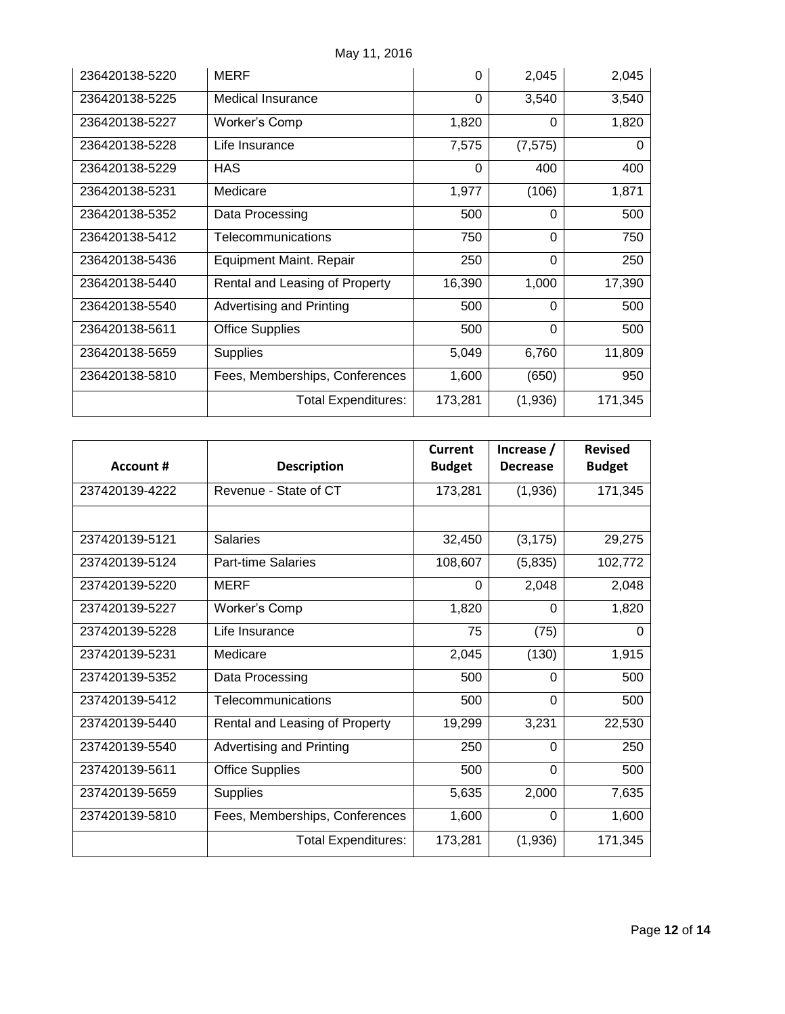| 236420138-5220 | <b>MERF</b>                    | 0        | 2,045    | 2,045    |
|----------------|--------------------------------|----------|----------|----------|
| 236420138-5225 | <b>Medical Insurance</b>       | $\Omega$ | 3,540    | 3,540    |
| 236420138-5227 | Worker's Comp                  | 1,820    | $\Omega$ | 1,820    |
| 236420138-5228 | Life Insurance                 | 7,575    | (7, 575) | $\Omega$ |
| 236420138-5229 | <b>HAS</b>                     | $\Omega$ | 400      | 400      |
| 236420138-5231 | Medicare                       | 1,977    | (106)    | 1,871    |
| 236420138-5352 | Data Processing                | 500      | 0        | 500      |
| 236420138-5412 | Telecommunications             | 750      | $\Omega$ | 750      |
| 236420138-5436 | Equipment Maint. Repair        | 250      | $\Omega$ | 250      |
| 236420138-5440 | Rental and Leasing of Property | 16,390   | 1,000    | 17,390   |
| 236420138-5540 | Advertising and Printing       | 500      | 0        | 500      |
| 236420138-5611 | <b>Office Supplies</b>         | 500      | $\Omega$ | 500      |
| 236420138-5659 | <b>Supplies</b>                | 5,049    | 6,760    | 11,809   |
| 236420138-5810 | Fees, Memberships, Conferences | 1,600    | (650)    | 950      |
|                | <b>Total Expenditures:</b>     | 173,281  | (1,936)  | 171,345  |

|                |                                 | Current       | Increase /      | <b>Revised</b> |
|----------------|---------------------------------|---------------|-----------------|----------------|
| Account #      | <b>Description</b>              | <b>Budget</b> | <b>Decrease</b> | <b>Budget</b>  |
| 237420139-4222 | Revenue - State of CT           | 173,281       | (1,936)         | 171,345        |
|                |                                 |               |                 |                |
| 237420139-5121 | <b>Salaries</b>                 | 32,450        | (3, 175)        | 29,275         |
| 237420139-5124 | Part-time Salaries              | 108,607       | (5,835)         | 102,772        |
| 237420139-5220 | <b>MERF</b>                     | $\Omega$      | 2,048           | 2,048          |
| 237420139-5227 | Worker's Comp                   | 1,820         | $\Omega$        | 1,820          |
| 237420139-5228 | Life Insurance                  | 75            | (75)            | $\Omega$       |
| 237420139-5231 | Medicare                        | 2,045         | (130)           | 1,915          |
| 237420139-5352 | Data Processing                 | 500           | 0               | 500            |
| 237420139-5412 | Telecommunications              | 500           | 0               | 500            |
| 237420139-5440 | Rental and Leasing of Property  | 19,299        | 3,231           | 22,530         |
| 237420139-5540 | <b>Advertising and Printing</b> | 250           | $\Omega$        | 250            |
| 237420139-5611 | <b>Office Supplies</b>          | 500           | $\Omega$        | 500            |
| 237420139-5659 | <b>Supplies</b>                 | 5,635         | 2,000           | 7,635          |
| 237420139-5810 | Fees, Memberships, Conferences  | 1,600         | $\Omega$        | 1,600          |
|                | <b>Total Expenditures:</b>      | 173,281       | (1,936)         | 171,345        |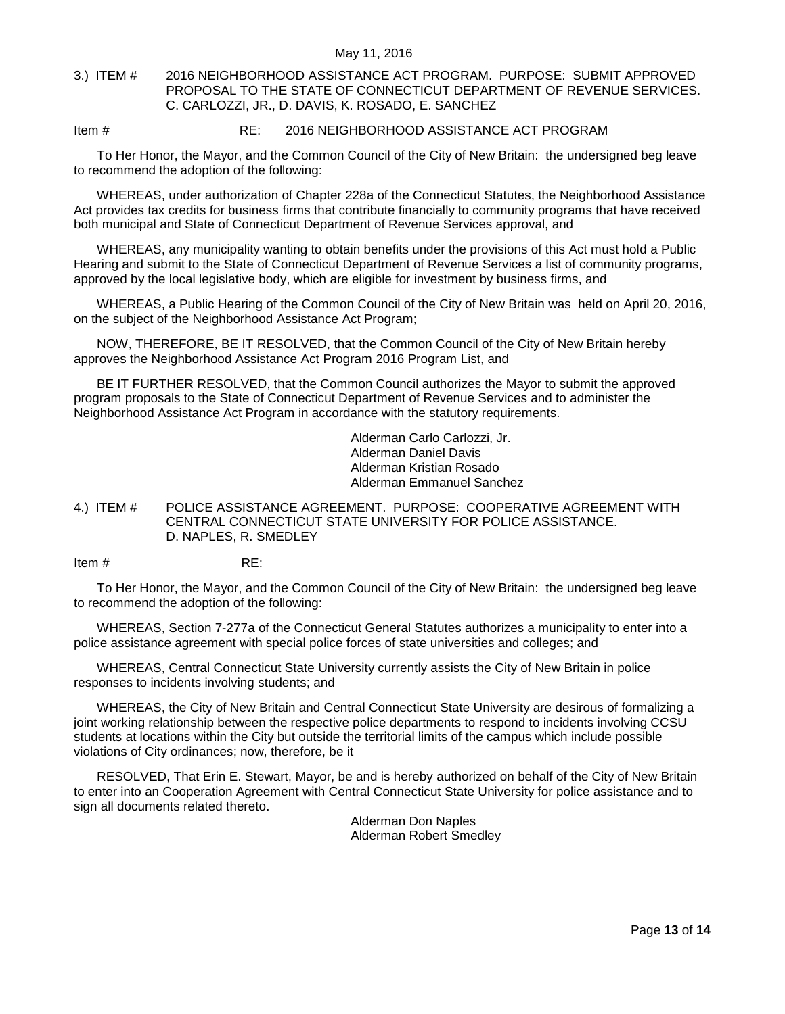### <span id="page-12-0"></span>3.) ITEM # 2016 NEIGHBORHOOD ASSISTANCE ACT PROGRAM. PURPOSE: SUBMIT APPROVED PROPOSAL TO THE STATE OF CONNECTICUT DEPARTMENT OF REVENUE SERVICES. C. CARLOZZI, JR., D. DAVIS, K. ROSADO, E. SANCHEZ

#### Item # RE: 2016 NEIGHBORHOOD ASSISTANCE ACT PROGRAM

To Her Honor, the Mayor, and the Common Council of the City of New Britain: the undersigned beg leave to recommend the adoption of the following:

WHEREAS, under authorization of Chapter 228a of the Connecticut Statutes, the Neighborhood Assistance Act provides tax credits for business firms that contribute financially to community programs that have received both municipal and State of Connecticut Department of Revenue Services approval, and

WHEREAS, any municipality wanting to obtain benefits under the provisions of this Act must hold a Public Hearing and submit to the State of Connecticut Department of Revenue Services a list of community programs, approved by the local legislative body, which are eligible for investment by business firms, and

WHEREAS, a Public Hearing of the Common Council of the City of New Britain was held on April 20, 2016, on the subject of the Neighborhood Assistance Act Program;

NOW, THEREFORE, BE IT RESOLVED, that the Common Council of the City of New Britain hereby approves the Neighborhood Assistance Act Program 2016 Program List, and

BE IT FURTHER RESOLVED, that the Common Council authorizes the Mayor to submit the approved program proposals to the State of Connecticut Department of Revenue Services and to administer the Neighborhood Assistance Act Program in accordance with the statutory requirements.

> Alderman Carlo Carlozzi, Jr. Alderman Daniel Davis Alderman Kristian Rosado Alderman Emmanuel Sanchez

<span id="page-12-1"></span>4.) ITEM # POLICE ASSISTANCE AGREEMENT. PURPOSE: COOPERATIVE AGREEMENT WITH CENTRAL CONNECTICUT STATE UNIVERSITY FOR POLICE ASSISTANCE. D. NAPLES, R. SMEDLEY

Item  $\#$  RF:

To Her Honor, the Mayor, and the Common Council of the City of New Britain: the undersigned beg leave to recommend the adoption of the following:

WHEREAS, Section 7-277a of the Connecticut General Statutes authorizes a municipality to enter into a police assistance agreement with special police forces of state universities and colleges; and

WHEREAS, Central Connecticut State University currently assists the City of New Britain in police responses to incidents involving students; and

WHEREAS, the City of New Britain and Central Connecticut State University are desirous of formalizing a joint working relationship between the respective police departments to respond to incidents involving CCSU students at locations within the City but outside the territorial limits of the campus which include possible violations of City ordinances; now, therefore, be it

RESOLVED, That Erin E. Stewart, Mayor, be and is hereby authorized on behalf of the City of New Britain to enter into an Cooperation Agreement with Central Connecticut State University for police assistance and to sign all documents related thereto.

> Alderman Don Naples Alderman Robert Smedley